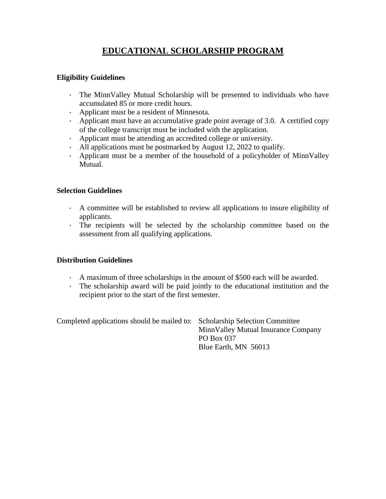# **EDUCATIONAL SCHOLARSHIP PROGRAM**

### **Eligibility Guidelines**

- · The MinnValley Mutual Scholarship will be presented to individuals who have accumulated 85 or more credit hours.
- · Applicant must be a resident of Minnesota.
- · Applicant must have an accumulative grade point average of 3.0. A certified copy of the college transcript must be included with the application.
- · Applicant must be attending an accredited college or university.
- · All applications must be postmarked by August 12, 2022 to qualify.
- · Applicant must be a member of the household of a policyholder of MinnValley Mutual.

### **Selection Guidelines**

- · A committee will be established to review all applications to insure eligibility of applicants.
- · The recipients will be selected by the scholarship committee based on the assessment from all qualifying applications.

## **Distribution Guidelines**

- · A maximum of three scholarships in the amount of \$500 each will be awarded.
- · The scholarship award will be paid jointly to the educational institution and the recipient prior to the start of the first semester.

| Completed applications should be mailed to: Scholarship Selection Committee |                                      |
|-----------------------------------------------------------------------------|--------------------------------------|
|                                                                             | Minn Valley Mutual Insurance Company |
|                                                                             | PO Box 037                           |
|                                                                             | Blue Earth, MN 56013                 |
|                                                                             |                                      |